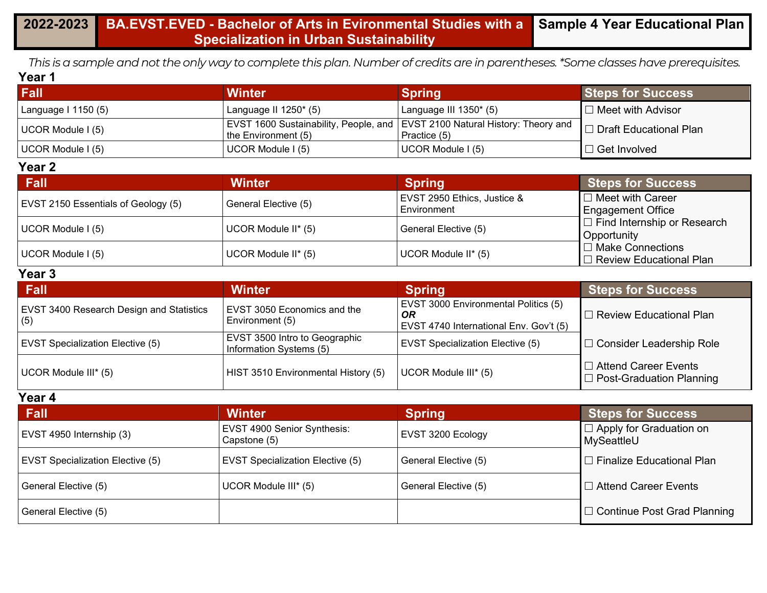*This is a sample and not the only way to complete this plan. Number of credits are in parentheses. \*Some classes have prerequisites.* **Year 1**

| <b>Fall</b>         | <b>Winter</b>            | Spring                                                                                       | <b>Steps for Success</b> |
|---------------------|--------------------------|----------------------------------------------------------------------------------------------|--------------------------|
| Language I 1150 (5) | Language II $1250^*$ (5) | Language III $1350^*$ (5)                                                                    | $\Box$ Meet with Advisor |
| UCOR Module I (5)   | the Environment $(5)$    | EVST 1600 Sustainability, People, and TEVST 2100 Natural History: Theory and<br>Practice (5) | □ Draft Educational Plan |
| UCOR Module I (5)   | UCOR Module I (5)        | UCOR Module I (5)                                                                            | $\Box$ Get Involved      |

#### **Year 2**

| <b>Fall</b>                         | <b>Winter</b>        | <b>Spring</b>                              | <b>Steps for Success</b>                                  |
|-------------------------------------|----------------------|--------------------------------------------|-----------------------------------------------------------|
| EVST 2150 Essentials of Geology (5) | General Elective (5) | EVST 2950 Ethics, Justice &<br>Environment | $\Box$ Meet with Career<br><b>Engagement Office</b>       |
| UCOR Module I (5)                   | UCOR Module II* (5)  | General Elective (5)                       | $\Box$ Find Internship or Research<br>Opportunity         |
| UCOR Module I (5)                   | UCOR Module II* (5)  | UCOR Module II* (5)                        | $\Box$ Make Connections<br>$\Box$ Review Educational Plan |

#### **Year 3**

| Fall                                                   | <b>Winter</b>                                            | <b>Spring</b>                                                                        | <b>Steps for Success</b>                                       |
|--------------------------------------------------------|----------------------------------------------------------|--------------------------------------------------------------------------------------|----------------------------------------------------------------|
| <b>EVST 3400 Research Design and Statistics</b><br>(5) | <b>EVST 3050 Economics and the</b><br>Environment (5)    | EVST 3000 Environmental Politics (5)<br>0R<br>EVST 4740 International Env. Gov't (5) | $\sqsupset$ Review Educational Plan                            |
| <b>EVST Specialization Elective (5)</b>                | EVST 3500 Intro to Geographic<br>Information Systems (5) | EVST Specialization Elective (5)                                                     | □ Consider Leadership Role                                     |
| UCOR Module III* (5)                                   | HIST 3510 Environmental History (5)                      | UCOR Module III* (5)                                                                 | $\Box$ Attend Career Events<br>$\Box$ Post-Graduation Planning |

#### **Year 4**

| Fall                                    | <b>Winter</b>                                      | <b>Spring</b>        | <b>Steps for Success</b>                               |
|-----------------------------------------|----------------------------------------------------|----------------------|--------------------------------------------------------|
| EVST 4950 Internship (3)                | <b>EVST 4900 Senior Synthesis:</b><br>Capstone (5) | EVST 3200 Ecology    | $\Box$ Apply for Graduation on<br>MySeattleU           |
| <b>EVST Specialization Elective (5)</b> | <b>EVST Specialization Elective (5)</b>            | General Elective (5) | $\mathsf I\mathbin{\square}$ Finalize Educational Plan |
| General Elective (5)                    | UCOR Module III* (5)                               | General Elective (5) | $\Box$ Attend Career Events                            |
| General Elective (5)                    |                                                    |                      | $\Box$ Continue Post Grad Planning                     |